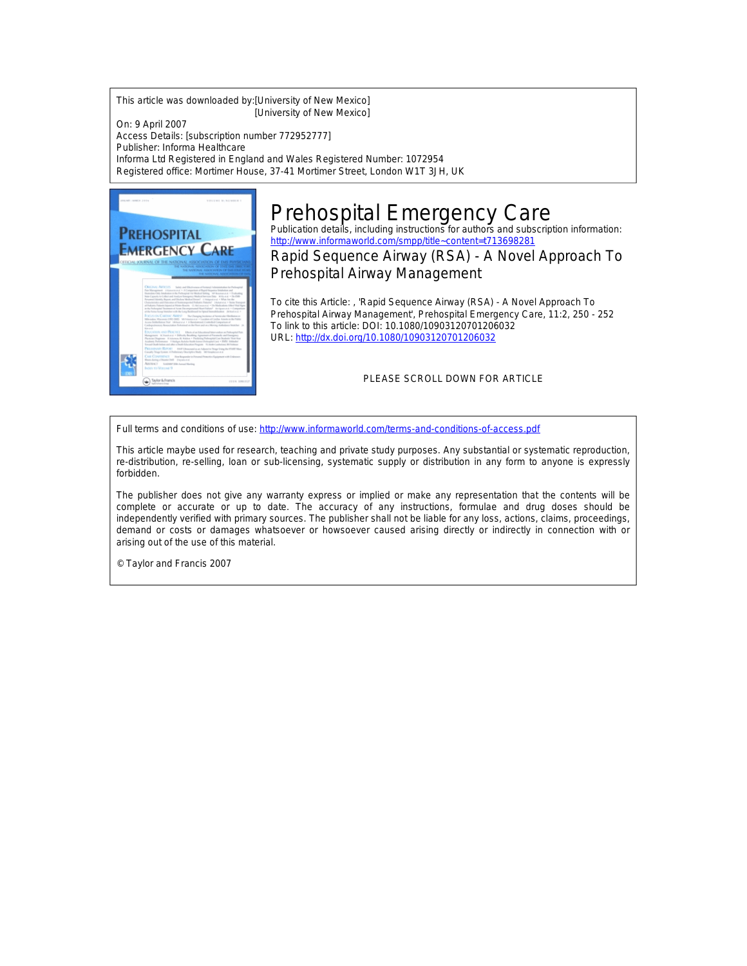This article was downloaded by:[University of New Mexico] [University of New Mexico]

On: 9 April 2007 Access Details: [subscription number 772952777] Publisher: Informa Healthcare Informa Ltd Registered in England and Wales Registered Number: 1072954 Registered office: Mortimer House, 37-41 Mortimer Street, London W1T 3JH, UK



## Prehospital Emergency Care<br>Publication details, including instructions for authors and subscription information:

<http://www.informaworld.com/smpp/title~content=t713698281>

Rapid Sequence Airway (RSA) - A Novel Approach To Prehospital Airway Management

To cite this Article: , 'Rapid Sequence Airway (RSA) - A Novel Approach To Prehospital Airway Management', Prehospital Emergency Care, 11:2, 250 - 252 To link to this article: DOI: 10.1080/10903120701206032 URL: <http://dx.doi.org/10.1080/10903120701206032>

PLEASE SCROLL DOWN FOR ARTICLE

Full terms and conditions of use: <http://www.informaworld.com/terms-and-conditions-of-access.pdf>

This article maybe used for research, teaching and private study purposes. Any substantial or systematic reproduction, re-distribution, re-selling, loan or sub-licensing, systematic supply or distribution in any form to anyone is expressly forbidden.

The publisher does not give any warranty express or implied or make any representation that the contents will be complete or accurate or up to date. The accuracy of any instructions, formulae and drug doses should be independently verified with primary sources. The publisher shall not be liable for any loss, actions, claims, proceedings, demand or costs or damages whatsoever or howsoever caused arising directly or indirectly in connection with or arising out of the use of this material.

© Taylor and Francis 2007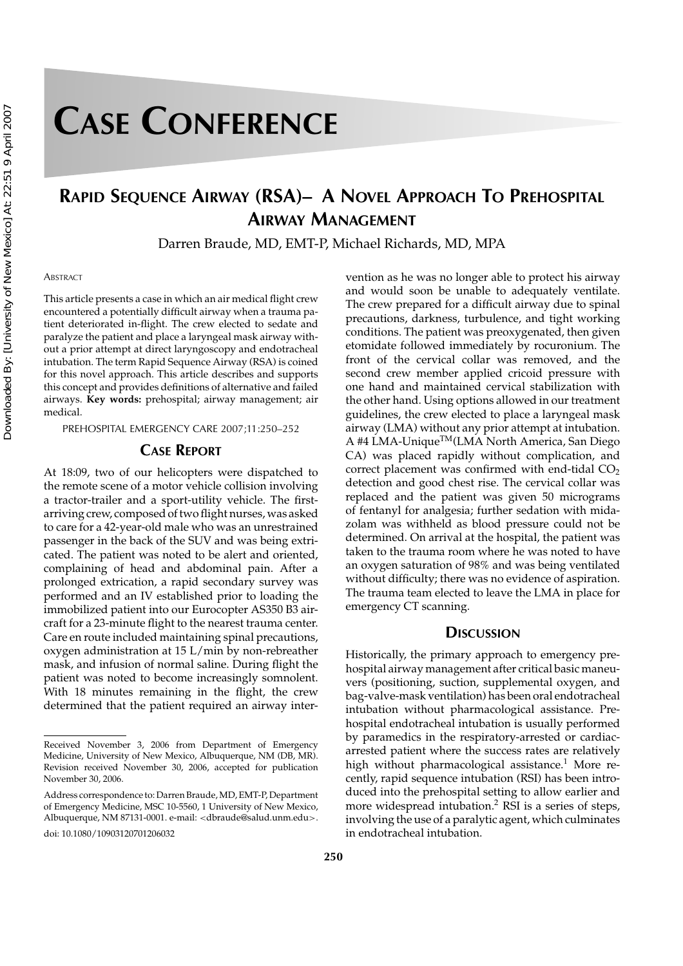# **CASE CONFERENCE**

### **RAPID SEQUENCE AIRWAY (RSA)– A NOVEL APPROACH TO PREHOSPITAL AIRWAY MANAGEMENT**

Darren Braude, MD, EMT-P, Michael Richards, MD, MPA

#### **ABSTRACT**

This article presents a case in which an air medical flight crew encountered a potentially difficult airway when a trauma patient deteriorated in-flight. The crew elected to sedate and paralyze the patient and place a laryngeal mask airway without a prior attempt at direct laryngoscopy and endotracheal intubation. The term Rapid Sequence Airway (RSA) is coined for this novel approach. This article describes and supports this concept and provides definitions of alternative and failed airways. **Key words:** prehospital; airway management; air medical.

PREHOSPITAL EMERGENCY CARE 2007;11:250–252

#### **CASE REPORT**

At 18:09, two of our helicopters were dispatched to the remote scene of a motor vehicle collision involving a tractor-trailer and a sport-utility vehicle. The firstarriving crew, composed of two flight nurses, was asked to care for a 42-year-old male who was an unrestrained passenger in the back of the SUV and was being extricated. The patient was noted to be alert and oriented, complaining of head and abdominal pain. After a prolonged extrication, a rapid secondary survey was performed and an IV established prior to loading the immobilized patient into our Eurocopter AS350 B3 aircraft for a 23-minute flight to the nearest trauma center. Care en route included maintaining spinal precautions, oxygen administration at 15 L/min by non-rebreather mask, and infusion of normal saline. During flight the patient was noted to become increasingly somnolent. With 18 minutes remaining in the flight, the crew determined that the patient required an airway intervention as he was no longer able to protect his airway and would soon be unable to adequately ventilate. The crew prepared for a difficult airway due to spinal precautions, darkness, turbulence, and tight working conditions. The patient was preoxygenated, then given etomidate followed immediately by rocuronium. The front of the cervical collar was removed, and the second crew member applied cricoid pressure with one hand and maintained cervical stabilization with the other hand. Using options allowed in our treatment guidelines, the crew elected to place a laryngeal mask airway (LMA) without any prior attempt at intubation. A #4 LMA-Unique™(LMA North America, San Diego CA) was placed rapidly without complication, and correct placement was confirmed with end-tidal  $CO<sub>2</sub>$ detection and good chest rise. The cervical collar was replaced and the patient was given 50 micrograms of fentanyl for analgesia; further sedation with midazolam was withheld as blood pressure could not be determined. On arrival at the hospital, the patient was taken to the trauma room where he was noted to have an oxygen saturation of 98% and was being ventilated without difficulty; there was no evidence of aspiration. The trauma team elected to leave the LMA in place for emergency CT scanning.

#### **DISCUSSION**

Historically, the primary approach to emergency prehospital airway management after critical basic maneuvers (positioning, suction, supplemental oxygen, and bag-valve-mask ventilation) has been oral endotracheal intubation without pharmacological assistance. Prehospital endotracheal intubation is usually performed by paramedics in the respiratory-arrested or cardiacarrested patient where the success rates are relatively high without pharmacological assistance.<sup>1</sup> More recently, rapid sequence intubation (RSI) has been introduced into the prehospital setting to allow earlier and more widespread intubation.<sup>2</sup> RSI is a series of steps, involving the use of a paralytic agent, which culminates in endotracheal intubation.

Received November 3, 2006 from Department of Emergency Medicine, University of New Mexico, Albuquerque, NM (DB, MR). Revision received November 30, 2006, accepted for publication November 30, 2006.

Address correspondence to: Darren Braude, MD, EMT-P, Department of Emergency Medicine, MSC 10-5560, 1 University of New Mexico, Albuquerque, NM 87131-0001. e-mail: <dbraude@salud.unm.edu>.

doi: 10.1080/10903120701206032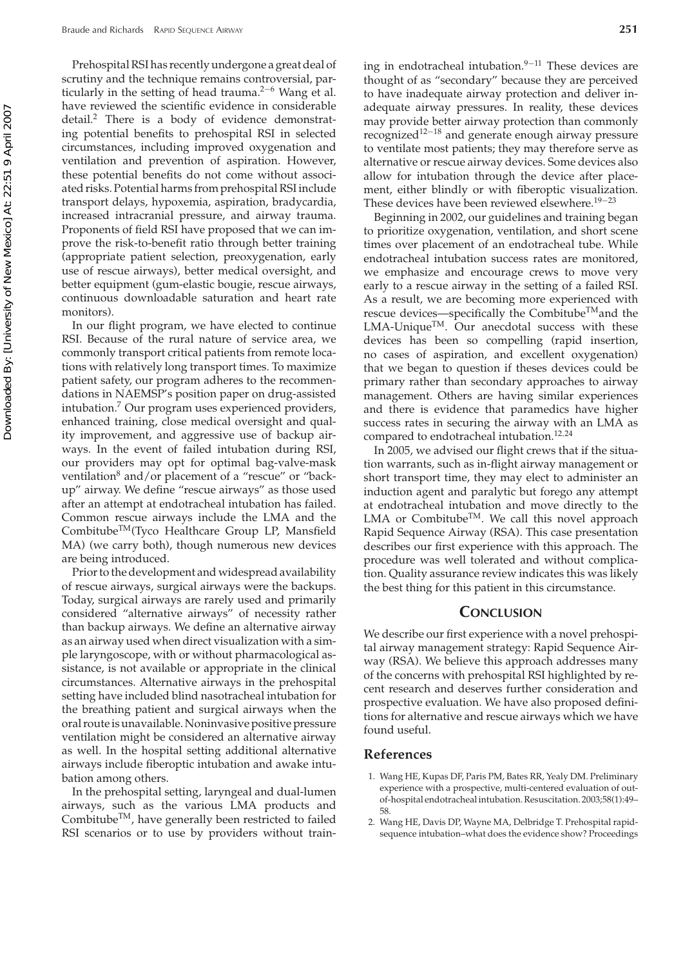Prehospital RSI has recently undergone a great deal of scrutiny and the technique remains controversial, particularly in the setting of head trauma.<sup>2−6</sup> Wang et al. have reviewed the scientific evidence in considerable detail.2 There is a body of evidence demonstrating potential benefits to prehospital RSI in selected circumstances, including improved oxygenation and ventilation and prevention of aspiration. However, these potential benefits do not come without associated risks. Potential harms from prehospital RSI include transport delays, hypoxemia, aspiration, bradycardia, increased intracranial pressure, and airway trauma. Proponents of field RSI have proposed that we can improve the risk-to-benefit ratio through better training (appropriate patient selection, preoxygenation, early use of rescue airways), better medical oversight, and better equipment (gum-elastic bougie, rescue airways, continuous downloadable saturation and heart rate monitors).

In our flight program, we have elected to continue RSI. Because of the rural nature of service area, we commonly transport critical patients from remote locations with relatively long transport times. To maximize patient safety, our program adheres to the recommendations in NAEMSP's position paper on drug-assisted intubation.<sup>7</sup> Our program uses experienced providers, enhanced training, close medical oversight and quality improvement, and aggressive use of backup airways. In the event of failed intubation during RSI, our providers may opt for optimal bag-valve-mask ventilation $8$  and/or placement of a "rescue" or "backup" airway. We define "rescue airways" as those used after an attempt at endotracheal intubation has failed. Common rescue airways include the LMA and the CombitubeTM(Tyco Healthcare Group LP, Mansfield MA) (we carry both), though numerous new devices are being introduced.

Prior to the development and widespread availability of rescue airways, surgical airways were the backups. Today, surgical airways are rarely used and primarily considered "alternative airways" of necessity rather than backup airways. We define an alternative airway as an airway used when direct visualization with a simple laryngoscope, with or without pharmacological assistance, is not available or appropriate in the clinical circumstances. Alternative airways in the prehospital setting have included blind nasotracheal intubation for the breathing patient and surgical airways when the oral route is unavailable. Noninvasive positive pressure ventilation might be considered an alternative airway as well. In the hospital setting additional alternative airways include fiberoptic intubation and awake intubation among others.

In the prehospital setting, laryngeal and dual-lumen airways, such as the various LMA products and Combitube<sup>TM</sup>, have generally been restricted to failed RSI scenarios or to use by providers without training in endotracheal intubation.<sup>9</sup>−<sup>11</sup> These devices are thought of as "secondary" because they are perceived to have inadequate airway protection and deliver inadequate airway pressures. In reality, these devices may provide better airway protection than commonly recognized12−<sup>18</sup> and generate enough airway pressure to ventilate most patients; they may therefore serve as alternative or rescue airway devices. Some devices also allow for intubation through the device after placement, either blindly or with fiberoptic visualization. These devices have been reviewed elsewhere.<sup>19−23</sup>

Beginning in 2002, our guidelines and training began to prioritize oxygenation, ventilation, and short scene times over placement of an endotracheal tube. While endotracheal intubation success rates are monitored, we emphasize and encourage crews to move very early to a rescue airway in the setting of a failed RSI. As a result, we are becoming more experienced with rescue devices—specifically the Combitube<sup>TM</sup> and the  $LMA$ -Unique<sup>TM</sup>. Our anecdotal success with these devices has been so compelling (rapid insertion, no cases of aspiration, and excellent oxygenation) that we began to question if theses devices could be primary rather than secondary approaches to airway management. Others are having similar experiences and there is evidence that paramedics have higher success rates in securing the airway with an LMA as compared to endotracheal intubation.<sup>12,24</sup>

In 2005, we advised our flight crews that if the situation warrants, such as in-flight airway management or short transport time, they may elect to administer an induction agent and paralytic but forego any attempt at endotracheal intubation and move directly to the LMA or Combitube<sup>TM</sup>. We call this novel approach Rapid Sequence Airway (RSA). This case presentation describes our first experience with this approach. The procedure was well tolerated and without complication. Quality assurance review indicates this was likely the best thing for this patient in this circumstance.

#### **CONCLUSION**

We describe our first experience with a novel prehospital airway management strategy: Rapid Sequence Airway (RSA). We believe this approach addresses many of the concerns with prehospital RSI highlighted by recent research and deserves further consideration and prospective evaluation. We have also proposed definitions for alternative and rescue airways which we have found useful.

#### **References**

- 1. Wang HE, Kupas DF, Paris PM, Bates RR, Yealy DM. Preliminary experience with a prospective, multi-centered evaluation of outof-hospital endotracheal intubation. Resuscitation. 2003;58(1):49– 58.
- 2. Wang HE, Davis DP, Wayne MA, Delbridge T. Prehospital rapidsequence intubation–what does the evidence show? Proceedings